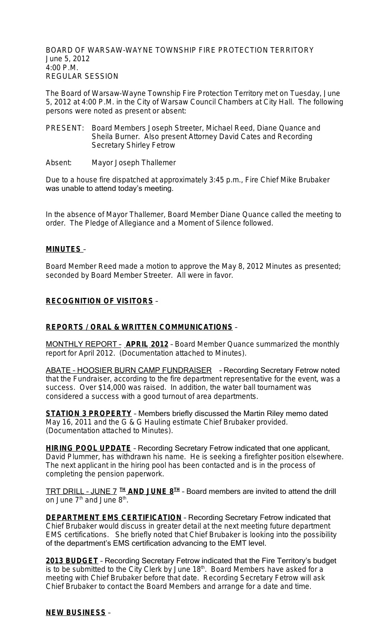BOARD OF WARSAW-WAYNE TOWNSHIP FIRE PROTECTION TERRITORY June 5, 2012 4:00 P.M. REGULAR SESSION

The Board of Warsaw-Wayne Township Fire Protection Territory met on Tuesday, June 5, 2012 at 4:00 P.M. in the City of Warsaw Council Chambers at City Hall. The following persons were noted as present or absent:

- PRESENT: Board Members Joseph Streeter, Michael Reed, Diane Quance and Sheila Burner. Also present Attorney David Cates and Recording Secretary Shirley Fetrow
- Absent: Mayor Joseph Thallemer

Due to a house fire dispatched at approximately 3:45 p.m., Fire Chief Mike Brubaker was unable to attend today's meeting.

In the absence of Mayor Thallemer, Board Member Diane Quance called the meeting to order. The Pledge of Allegiance and a Moment of Silence followed.

#### **MINUTES** –

Board Member Reed made a motion to approve the May 8, 2012 Minutes as presented; seconded by Board Member Streeter. All were in favor.

### **RECOGNITION OF VISITORS** –

### **REPORTS / ORAL & WRITTEN COMMUNICATIONS** –

MONTHLY REPORT – **APRIL 2012** – Board Member Quance summarized the monthly report for April 2012. (Documentation attached to Minutes).

ABATE – HOOSIER BURN CAMP FUNDRAISER – Recording Secretary Fetrow noted that the Fundraiser, according to the fire department representative for the event, was a success. Over \$14,000 was raised. In addition, the water ball tournament was considered a success with a good turnout of area departments.

**STATION 3 PROPERTY** – Members briefly discussed the Martin Riley memo dated May 16, 2011 and the G & G Hauling estimate Chief Brubaker provided. (Documentation attached to Minutes).

**HIRING POOL UPDATE** – Recording Secretary Fetrow indicated that one applicant, David Plummer, has withdrawn his name. He is seeking a firefighter position elsewhere. The next applicant in the hiring pool has been contacted and is in the process of completing the pension paperwork.

TRT DRILL – JUNE 7 **TH AND JUNE 8TH** – Board members are invited to attend the drill on June 7<sup>th</sup> and June 8<sup>th</sup>.

**DEPARTMENT EMS CERTIFICATION** - Recording Secretary Fetrow indicated that Chief Brubaker would discuss in greater detail at the next meeting future department EMS certifications. She briefly noted that Chief Brubaker is looking into the possibility of the department's EMS certification advancing to the EMT level.

**2013 BUDGET** – Recording Secretary Fetrow indicated that the Fire Territory's budget is to be submitted to the City Clerk by June  $18<sup>th</sup>$ . Board Members have asked for a meeting with Chief Brubaker before that date. Recording Secretary Fetrow will ask Chief Brubaker to contact the Board Members and arrange for a date and time.